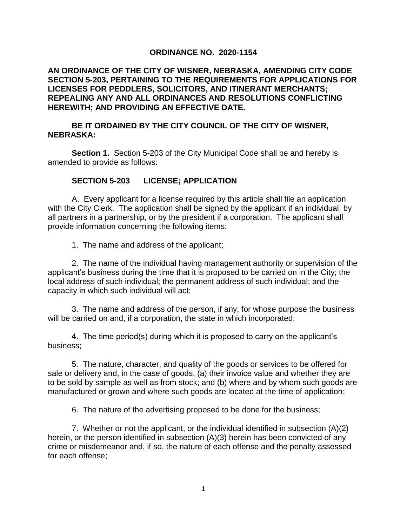## **ORDINANCE NO. 2020-1154**

## **AN ORDINANCE OF THE CITY OF WISNER, NEBRASKA, AMENDING CITY CODE SECTION 5-203, PERTAINING TO THE REQUIREMENTS FOR APPLICATIONS FOR LICENSES FOR PEDDLERS, SOLICITORS, AND ITINERANT MERCHANTS; REPEALING ANY AND ALL ORDINANCES AND RESOLUTIONS CONFLICTING HEREWITH; AND PROVIDING AN EFFECTIVE DATE.**

## **BE IT ORDAINED BY THE CITY COUNCIL OF THE CITY OF WISNER, NEBRASKA:**

**Section 1.** Section 5-203 of the City Municipal Code shall be and hereby is amended to provide as follows:

## **SECTION 5-203 LICENSE; APPLICATION**

A. Every applicant for a license required by this article shall file an application with the City Clerk. The application shall be signed by the applicant if an individual, by all partners in a partnership, or by the president if a corporation. The applicant shall provide information concerning the following items:

1. The name and address of the applicant;

2. The name of the individual having management authority or supervision of the applicant's business during the time that it is proposed to be carried on in the City; the local address of such individual; the permanent address of such individual; and the capacity in which such individual will act;

3. The name and address of the person, if any, for whose purpose the business will be carried on and, if a corporation, the state in which incorporated;

4. The time period(s) during which it is proposed to carry on the applicant's business;

5. The nature, character, and quality of the goods or services to be offered for sale or delivery and, in the case of goods, (a) their invoice value and whether they are to be sold by sample as well as from stock; and (b) where and by whom such goods are manufactured or grown and where such goods are located at the time of application;

6. The nature of the advertising proposed to be done for the business;

7. Whether or not the applicant, or the individual identified in subsection (A)(2) herein, or the person identified in subsection (A)(3) herein has been convicted of any crime or misdemeanor and, if so, the nature of each offense and the penalty assessed for each offense;